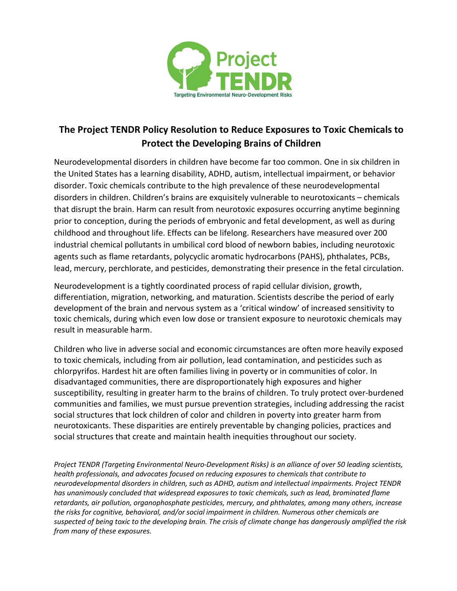

## **The Project TENDR Policy Resolution to Reduce Exposures to Toxic Chemicals to Protect the Developing Brains of Children**

Neurodevelopmental disorders in children have become far too common. One in six children in the United States has a learning disability, ADHD, autism, intellectual impairment, or behavior disorder. Toxic chemicals contribute to the high prevalence of these neurodevelopmental disorders in children. Children's brains are exquisitely vulnerable to neurotoxicants – chemicals that disrupt the brain. Harm can result from neurotoxic exposures occurring anytime beginning prior to conception, during the periods of embryonic and fetal development, as well as during childhood and throughout life. Effects can be lifelong. Researchers have measured over 200 industrial chemical pollutants in umbilical cord blood of newborn babies, including neurotoxic agents such as flame retardants, polycyclic aromatic hydrocarbons (PAHS), phthalates, PCBs, lead, mercury, perchlorate, and pesticides, demonstrating their presence in the fetal circulation.

Neurodevelopment is a tightly coordinated process of rapid cellular division, growth, differentiation, migration, networking, and maturation. Scientists describe the period of early development of the brain and nervous system as a 'critical window' of increased sensitivity to toxic chemicals, during which even low dose or transient exposure to neurotoxic chemicals may result in measurable harm.

Children who live in adverse social and economic circumstances are often more heavily exposed to toxic chemicals, including from air pollution, lead contamination, and pesticides such as chlorpyrifos. Hardest hit are often families living in poverty or in communities of color. In disadvantaged communities, there are disproportionately high exposures and higher susceptibility, resulting in greater harm to the brains of children. To truly protect over-burdened communities and families, we must pursue prevention strategies, including addressing the racist social structures that lock children of color and children in poverty into greater harm from neurotoxicants. These disparities are entirely preventable by changing policies, practices and social structures that create and maintain health inequities throughout our society.

*Project TENDR (Targeting Environmental Neuro-Development Risks) is an alliance of over 50 leading scientists, health professionals, and advocates focused on reducing exposures to chemicals that contribute to neurodevelopmental disorders in children, such as ADHD, autism and intellectual impairments. Project TENDR has unanimously concluded that widespread exposures to toxic chemicals, such as lead, brominated flame retardants, air pollution, organophosphate pesticides, mercury, and phthalates, among many others, increase the risks for cognitive, behavioral, and/or social impairment in children. Numerous other chemicals are suspected of being toxic to the developing brain. The crisis of climate change has dangerously amplified the risk from many of these exposures.*